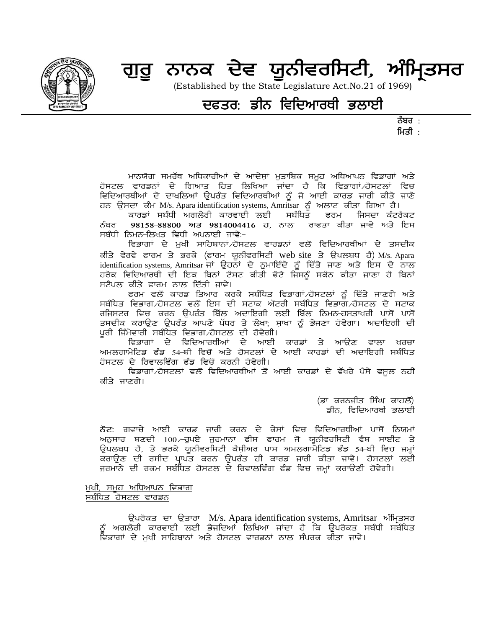

# ਗੁਰੂ ਨਾਨਕ ਦੇਵ ਯੂਨੀਵਰਸਿਟੀ, ਅੰਮ੍ਰਿਤਸਰ

(Established by the State Legislature Act.No.21 of 1969)

### ਦਫਤਰ: ਡੀਨ ਵਿਦਿਆਰਥੀ ਭਲਾਈ

ਨੰਬਰ : ਮਿਤੀ $\pm$ 

ਮਾਨਯੋਗ ਸਮਰੱਥ ਅਧਿਕਾਰੀਆਂ ਦੇ ਆਦੇਸ਼ਾਂ ਮੁਤਾਬਿਕ ਸਮੂਹ ਅਧਿਆਪਨ ਵਿਭਾਗਾਂ ਅਤੇ ਹੋਸਟਲ ਵਾਰਡਨਾਂ ਦੇ ਗਿਆਤ ਹਿਤ ਲਿਖਿਆ ਜਾਂਦਾ ਹੈ ਕਿ ਵਿਭਾਗਾਂ ਹੋਸਟਲਾਂ ਵਿਚ ਵਿਦਿਆਰਥੀਆਂ ਦੇ ਦਾਖਲਿਆਂ ਉਪਰੰਤ ਵਿਦਿਆਰਥੀਆਂ ਨੂੰ ਜੋ ਆਈ ਕਾਰਡ ਜਾਰੀ ਕੀਤੇ ਜਾਣੇ ਹਨ ਉਸਦਾ ਕੰਮ M/s. Apara identification systems, Amritsar ਨੂੰ ਅਲਾਟ ਕੀਤਾ ਗਿਆ ਹੈ।<br>ਕਾਰਡਾਂ ਸਬੰਧੀ ਅਗਲੇਰੀ ਕਾਰਵਾਈ ਲਈ ਸਬੰਧਿਤ ਫਰਮ ਜਿਸਦਾ ਕੰਟਰ

ਫਰਮ ਜਿਸਦਾ ਕੰਟਰੈਕਟ ਨੰਬਰ 98158-88800 ਅਤੇ 9814004416 ਹੋ, ਨਾਲ ਰਾਫਤਾ ਕੀਤਾ ਜਾਵੇ ਅਤੇ ਇਸ ਸਬੰਧੀ ਨਿਮਨ-ਲਿਖਤ ਵਿਧੀ ਅਪਨਾਈ ਜਾਵੇ:–

ਵਿਭਾਗਾਂ ਦੇ ਮੁਖੀ ਸਾਹਿਬਾਨਾਂ ਹੋਸਟਲ ਵਾਰਡਨਾਂ ਵਲੋਂ ਵਿਦਿਆਰਥੀਆਂ ਦੇ ਤਸਦੀਕ ਕੀਤੇ ਵੇਰਵੇ ਫਾਰਮ ਤੇ ਭਰਕੇ (ਫਾਰਮ ਯੂਨੀਵਰਸਿਟੀ web site ਤੇ ਉਪਲਬਧ ਹੈ) M/s. Apara identification systems, Amritsar ਜਾਂ ਉਹਨਾਂ ਦੇ ਨੁਮਾਇੰਦੇ ਨੂੰ ਦਿੱਤੇ ਜਾਣ ਅਤੇ ਇਸ ਦੇ ਨਾਲ ਹਰੇਕ ਵਿਦਿਆਰਥੀ ਦੀ ਇਕ ਬਿਨਾਂ ਟੈਸਟ ਕੀਤੀ ਫੋਟੋ ਜਿਸਨੂੰ ਸਕੈਨ ਕੀਤਾ ਜਾਣਾ ਹੈ ਬਿਨਾਂ ਸਟੈਪਲ ਕੀਤੇ ਫਾਰਮ ਨਾਲ ਦਿੱਤੀ ਜਾਵੇ।

ਫਰਮ ਵਲੋਂ ਕਾਰਡ ਤਿਆਰ ਕਰਕੇ ਸਬੰਧਿਤ ਵਿਭਾਗਾਂ ਹੋਸਟਲਾਂ ਨੂੰ ਦਿੱਤੇ ਜਾਣਗੇ ਅਤੇ ਸਬੰਧਿਤ ਵਿਭਾਗ ∕ਹੋਸਟਲ ਵਲੋਂ ਇਸ ਦੀ ਸਟਾਕ ਐਂਟਰੀ ਸਬੰਧਿਤ ਵਿਭਾਗ ⁄ਹੋਸਟਲ ਦੇ ਸਟਾਕ ਰਜਿਸਟਰ ਵਿਚ ਕਰਨ ਉਪਰੰਤ ਬਿੱਲ ਅਦਾਇਗੀ ਲਈ ਬਿੱਲ ਨਿਮਨ–ਹਸਤਾਖਰੀ ਪਾਸੋਂ ਪਾਸੋਂ ਤਸਦੀਕ ਕਰਾਉਣ ਉਪਰੰਤ ਆਪਣੇ ਪੱਧਰ ਤੇ ਲੇਖਾ; ਸ਼ਾਖਾ ਨੂੰ ਭੇਜਣਾ ਹੋਵੇਗਾ। ਅਦਾਇਗੀ ਦੀ ਪਰੀ ਜਿੰਮੇਵਾਰੀ ਸਬੰਧਿਤ ਵਿਭਾਗ ∕ਹੋਸਟਲ ਦੀ ਹੋਵੇਗੀ।

ਵਿਭਾਗਾਂ ਦੇ ਵਿਦਿਆਰਥੀਆਂ ਦੇ ਆਈ ਕਾਰਡਾਂ ਤੇ ਆਉਣ ਵਾਲਾ ਖਰਚਾ ਅਮਲਗਾਮੇਟਿਡ ਫੰਡ 54-ਬੀ ਵਿਚੋਂ ਅਤੇ ਹੋਸਟਲਾਂ ਦੇ ਆਈ ਕਾਰਡਾਂ ਦੀ ਅਦਾਇਗੀ ਸਬੰਧਿਤ ਹੋਸਟਲ ਦੇ ਰਿਵਾਲਵਿੰਗ ਫੰਡ ਵਿਚੋਂ ਕਰਨੀ ਹੋਵੇਗੀ।

ਵਿਭਾਗਾਂ ਹੋਸਟਲਾਂ ਵਲੋਂ ਵਿਦਿਆਰਥੀਆਂ ਤੋਂ ਆਈ ਕਾਰਡਾਂ ਦੇ ਵੱਖਰੇ ਪੈਸੇ ਵਸੂਲ ਨਹੀਂ ਕੀਤੇ ਜਾਣਗੇ।

> (ਡਾ ਕਰਨਜੀਤ ਸਿੰਘ ਕਾਹਲੋਂ) ਡੀਨ, ਵਿਦਿਆਰਥੀ ਭਲਾਈ

ਨੋਟ: ਗਵਾਚੇ ਆਈ ਕਾਰਡ ਜਾਰੀ ਕਰਨ ਦੇ ਕੇਸਾਂ ਵਿਚ ਵਿਦਿਆਰਥੀਆਂ ਪਾਸੋਂ ਨਿਯਮਾਂ ਅਨੁਸਾਰ ਬਣਦੀ 100 ਫੁਪਏ ਜੁਰਮਾਨਾ ਫੀਸ ਫਾਰਮ ਜੋ ਯੂਨੀਵਰਸਿਟੀ ਵੈਬ ਸਾਈਟ ਤੇ ਉਪਲਬਧ ਹੈ, ਤੇ ਭਰਕੇ ਯੂਨੀਵਰਸਿਟੀ ਕੈਸ਼ੀਅਰ ਪਾਸ ਅਮਲਗਾਮੇਟਿਡ ਫੰਡ 54-ਬੀ ਵਿਚ ਜਮ੍ਹਾਂ ਕਰਾਉਣ ਦੀ ਰਸੀਦ ਪ੍ਰਾਪਤ ਕਰਨ ਉਪਰੰਤ ਹੀ ਕਾਰਡ ਜਾਰੀ ਕੀਤਾ ਜਾਵੇ। ਹੋਸਟਲਾਂ ਲਈ ਜਰਮਾਨੇ ਦੀ ਰਕਮ ਸਬੰਧਿਤ ਹੋਸਟਲ ਦੇ ਰਿਵਾਲਵਿੰਗ ਫੰਡ ਵਿਚ ਜਮ੍ਹਾਂ ਕਰਾਉਣੀ ਹੋਵੇਗੀ।

#### ਮੁਖੀ, ਸਮੂਹ ਅਧਿਆਪਨ ਵਿਭਾਗ ਸਬੰਧਿਤ ਹੋਸਟਲ ਵਾਰਡਨ

ਉਪਰੋਕਤ ਦਾ ਉਤਾਰਾ M/s. Apara identification systems, Amritsar ਅੰਮ੍ਰਿਤਸਰ<br>ਨੂੰ ਅਗਲੇਰੀ ਕਾਰਵਾਈ ਲਈ ਭੇਜਦਿਆਂ ਲਿਖਿਆ ਜਾਂਦਾ ਹੈ ਕਿ ਉਪਰੋਕਤ ਸਬੰਧੀ ਸਬੰਧਿਤ ਵਿਭਾਗਾਂ ਦੇ ਮਖੀ ਸਾਹਿਬਾਨਾਂ ਅਤੇ ਹੋਸਟਲ ਵਾਰਡਨਾਂ ਨਾਲ ਸੰਪਰਕ ਕੀਤਾ ਜਾਵੇ।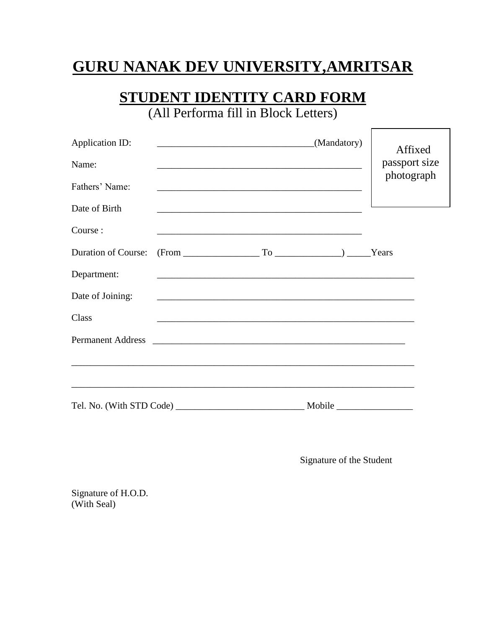## **GURU NANAK DEV UNIVERSITY,AMRITSAR**

# **STUDENT IDENTITY CARD FORM**

(All Performa fill in Block Letters)

| Application ID:<br>Name:   |  |  | <u> 2002 - Jan James James Barbara, president eta politikaria (h. 1878).</u> | (Mandatory)                                                                                                           | Affixed<br>passport size<br>photograph |
|----------------------------|--|--|------------------------------------------------------------------------------|-----------------------------------------------------------------------------------------------------------------------|----------------------------------------|
| Fathers' Name:             |  |  |                                                                              |                                                                                                                       |                                        |
| Date of Birth              |  |  |                                                                              |                                                                                                                       |                                        |
| Course:                    |  |  |                                                                              |                                                                                                                       |                                        |
| <b>Duration of Course:</b> |  |  |                                                                              | $(From ________ To ________) ________ Years$                                                                          |                                        |
| Department:                |  |  |                                                                              | <u> 1989 - Johann Stoff, deutscher Stoff, der Stoff, der Stoff, der Stoff, der Stoff, der Stoff, der Stoff, der S</u> |                                        |
| Date of Joining:           |  |  |                                                                              |                                                                                                                       |                                        |
| Class                      |  |  |                                                                              |                                                                                                                       |                                        |
|                            |  |  |                                                                              |                                                                                                                       |                                        |
|                            |  |  |                                                                              |                                                                                                                       |                                        |
|                            |  |  |                                                                              |                                                                                                                       |                                        |
|                            |  |  |                                                                              |                                                                                                                       |                                        |

Signature of the Student

 $\Gamma$ 

Signature of H.O.D. (With Seal)